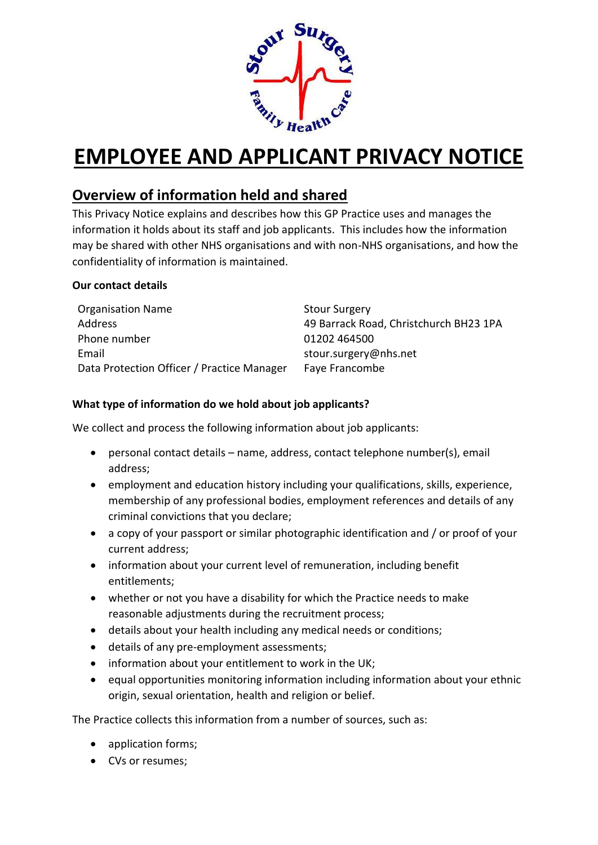

# **EMPLOYEE AND APPLICANT PRIVACY NOTICE**

# **Overview of information held and shared**

This Privacy Notice explains and describes how this GP Practice uses and manages the information it holds about its staff and job applicants. This includes how the information may be shared with other NHS organisations and with non-NHS organisations, and how the confidentiality of information is maintained.

#### **Our contact details**

| <b>Organisation Name</b>                   | <b>Stour Surgery</b>                   |
|--------------------------------------------|----------------------------------------|
| Address                                    | 49 Barrack Road, Christchurch BH23 1PA |
| Phone number                               | 01202 464500                           |
| Email                                      | stour.surgery@nhs.net                  |
| Data Protection Officer / Practice Manager | Faye Francombe                         |

#### **What type of information do we hold about job applicants?**

We collect and process the following information about job applicants:

- personal contact details name, address, contact telephone number(s), email address;
- employment and education history including your qualifications, skills, experience, membership of any professional bodies, employment references and details of any criminal convictions that you declare;
- a copy of your passport or similar photographic identification and / or proof of your current address;
- information about your current level of remuneration, including benefit entitlements;
- whether or not you have a disability for which the Practice needs to make reasonable adjustments during the recruitment process;
- details about your health including any medical needs or conditions;
- details of any pre-employment assessments;
- information about your entitlement to work in the UK;
- equal opportunities monitoring information including information about your ethnic origin, sexual orientation, health and religion or belief.

The Practice collects this information from a number of sources, such as:

- application forms;
- CVs or resumes;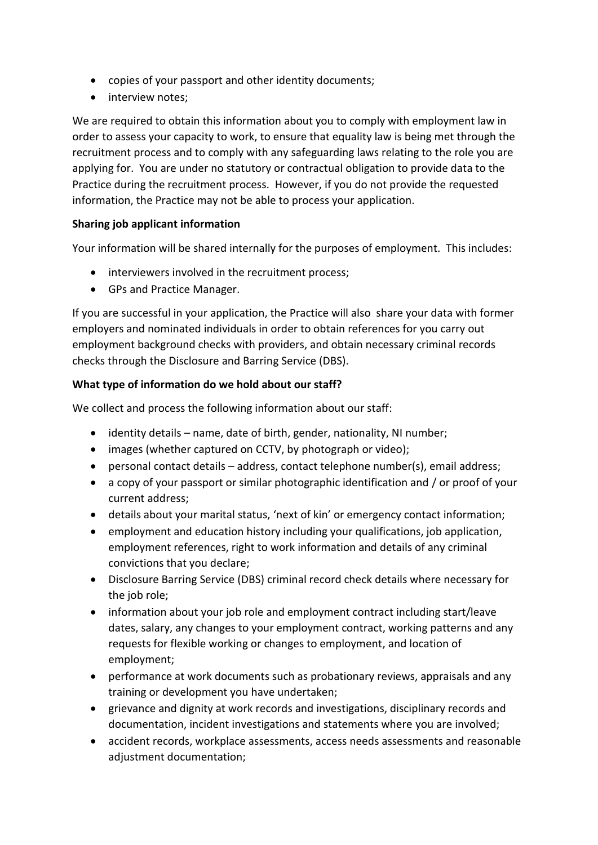- copies of your passport and other identity documents;
- interview notes;

We are required to obtain this information about you to comply with employment law in order to assess your capacity to work, to ensure that equality law is being met through the recruitment process and to comply with any safeguarding laws relating to the role you are applying for. You are under no statutory or contractual obligation to provide data to the Practice during the recruitment process. However, if you do not provide the requested information, the Practice may not be able to process your application.

#### **Sharing job applicant information**

Your information will be shared internally for the purposes of employment. This includes:

- interviewers involved in the recruitment process;
- GPs and Practice Manager.

If you are successful in your application, the Practice will also share your data with former employers and nominated individuals in order to obtain references for you carry out employment background checks with providers, and obtain necessary criminal records checks through the Disclosure and Barring Service (DBS).

#### **What type of information do we hold about our staff?**

We collect and process the following information about our staff:

- identity details name, date of birth, gender, nationality, NI number;
- images (whether captured on CCTV, by photograph or video);
- personal contact details address, contact telephone number(s), email address;
- a copy of your passport or similar photographic identification and / or proof of your current address;
- details about your marital status, 'next of kin' or emergency contact information;
- employment and education history including your qualifications, job application, employment references, right to work information and details of any criminal convictions that you declare;
- Disclosure Barring Service (DBS) criminal record check details where necessary for the job role;
- information about your job role and employment contract including start/leave dates, salary, any changes to your employment contract, working patterns and any requests for flexible working or changes to employment, and location of employment;
- performance at work documents such as probationary reviews, appraisals and any training or development you have undertaken;
- grievance and dignity at work records and investigations, disciplinary records and documentation, incident investigations and statements where you are involved;
- accident records, workplace assessments, access needs assessments and reasonable adjustment documentation;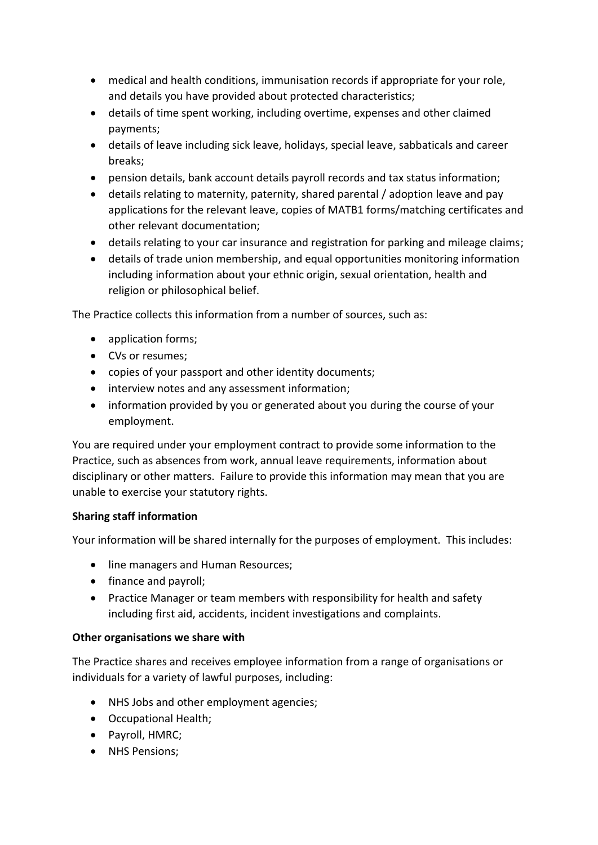- medical and health conditions, immunisation records if appropriate for your role, and details you have provided about protected characteristics;
- details of time spent working, including overtime, expenses and other claimed payments;
- details of leave including sick leave, holidays, special leave, sabbaticals and career breaks;
- pension details, bank account details payroll records and tax status information;
- details relating to maternity, paternity, shared parental / adoption leave and pay applications for the relevant leave, copies of MATB1 forms/matching certificates and other relevant documentation;
- details relating to your car insurance and registration for parking and mileage claims;
- details of trade union membership, and equal opportunities monitoring information including information about your ethnic origin, sexual orientation, health and religion or philosophical belief.

The Practice collects this information from a number of sources, such as:

- application forms;
- CVs or resumes;
- copies of your passport and other identity documents;
- interview notes and any assessment information;
- information provided by you or generated about you during the course of your employment.

You are required under your employment contract to provide some information to the Practice, such as absences from work, annual leave requirements, information about disciplinary or other matters. Failure to provide this information may mean that you are unable to exercise your statutory rights.

#### **Sharing staff information**

Your information will be shared internally for the purposes of employment. This includes:

- line managers and Human Resources;
- finance and payroll;
- Practice Manager or team members with responsibility for health and safety including first aid, accidents, incident investigations and complaints.

#### **Other organisations we share with**

The Practice shares and receives employee information from a range of organisations or individuals for a variety of lawful purposes, including:

- NHS Jobs and other employment agencies;
- Occupational Health;
- Payroll, HMRC;
- NHS Pensions;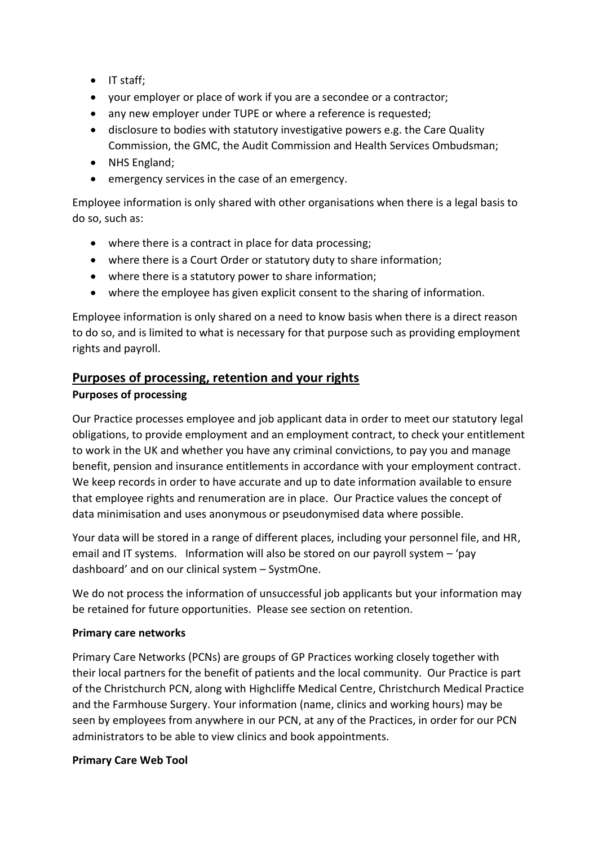- IT staff;
- your employer or place of work if you are a secondee or a contractor;
- any new employer under TUPE or where a reference is requested;
- disclosure to bodies with statutory investigative powers e.g. the Care Quality Commission, the GMC, the Audit Commission and Health Services Ombudsman;
- NHS England;
- emergency services in the case of an emergency.

Employee information is only shared with other organisations when there is a legal basis to do so, such as:

- where there is a contract in place for data processing;
- where there is a Court Order or statutory duty to share information;
- where there is a statutory power to share information;
- where the employee has given explicit consent to the sharing of information.

Employee information is only shared on a need to know basis when there is a direct reason to do so, and is limited to what is necessary for that purpose such as providing employment rights and payroll.

# **Purposes of processing, retention and your rights**

#### **Purposes of processing**

Our Practice processes employee and job applicant data in order to meet our statutory legal obligations, to provide employment and an employment contract, to check your entitlement to work in the UK and whether you have any criminal convictions, to pay you and manage benefit, pension and insurance entitlements in accordance with your employment contract. We keep records in order to have accurate and up to date information available to ensure that employee rights and renumeration are in place. Our Practice values the concept of data minimisation and uses anonymous or pseudonymised data where possible.

Your data will be stored in a range of different places, including your personnel file, and HR, email and IT systems. Information will also be stored on our payroll system – 'pay dashboard' and on our clinical system – SystmOne.

We do not process the information of unsuccessful job applicants but your information may be retained for future opportunities. Please see section on retention.

#### **Primary care networks**

Primary Care Networks (PCNs) are groups of GP Practices working closely together with their local partners for the benefit of patients and the local community. Our Practice is part of the Christchurch PCN, along with Highcliffe Medical Centre, Christchurch Medical Practice and the Farmhouse Surgery. Your information (name, clinics and working hours) may be seen by employees from anywhere in our PCN, at any of the Practices, in order for our PCN administrators to be able to view clinics and book appointments.

#### **Primary Care Web Tool**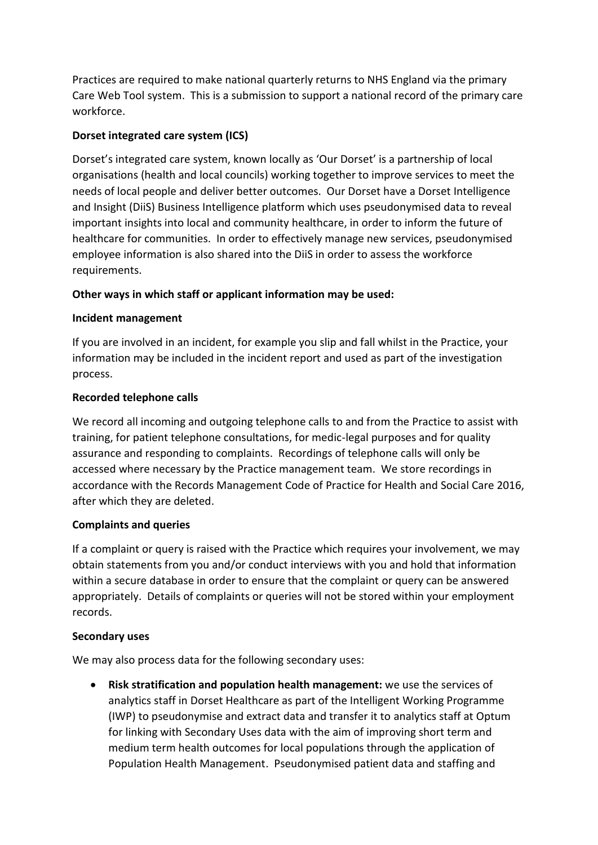Practices are required to make national quarterly returns to NHS England via the primary Care Web Tool system. This is a submission to support a national record of the primary care workforce.

#### **Dorset integrated care system (ICS)**

Dorset's integrated care system, known locally as 'Our Dorset' is a partnership of local organisations (health and local councils) working together to improve services to meet the needs of local people and deliver better outcomes. Our Dorset have a Dorset Intelligence and Insight (DiiS) Business Intelligence platform which uses pseudonymised data to reveal important insights into local and community healthcare, in order to inform the future of healthcare for communities. In order to effectively manage new services, pseudonymised employee information is also shared into the DiiS in order to assess the workforce requirements.

#### **Other ways in which staff or applicant information may be used:**

#### **Incident management**

If you are involved in an incident, for example you slip and fall whilst in the Practice, your information may be included in the incident report and used as part of the investigation process.

#### **Recorded telephone calls**

We record all incoming and outgoing telephone calls to and from the Practice to assist with training, for patient telephone consultations, for medic-legal purposes and for quality assurance and responding to complaints. Recordings of telephone calls will only be accessed where necessary by the Practice management team. We store recordings in accordance with the Records Management Code of Practice for Health and Social Care 2016, after which they are deleted.

#### **Complaints and queries**

If a complaint or query is raised with the Practice which requires your involvement, we may obtain statements from you and/or conduct interviews with you and hold that information within a secure database in order to ensure that the complaint or query can be answered appropriately. Details of complaints or queries will not be stored within your employment records.

#### **Secondary uses**

We may also process data for the following secondary uses:

• **Risk stratification and population health management:** we use the services of analytics staff in Dorset Healthcare as part of the Intelligent Working Programme (IWP) to pseudonymise and extract data and transfer it to analytics staff at Optum for linking with Secondary Uses data with the aim of improving short term and medium term health outcomes for local populations through the application of Population Health Management. Pseudonymised patient data and staffing and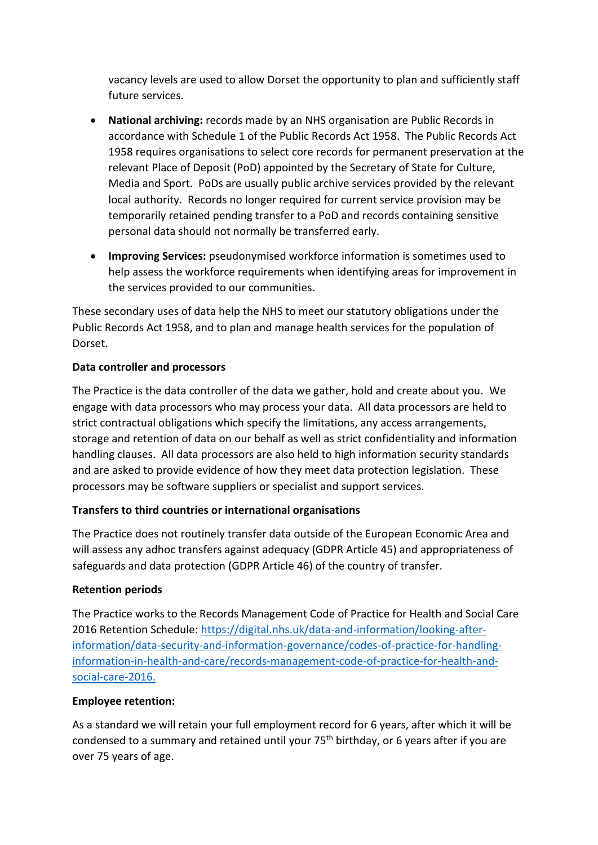vacancy levels are used to allow Dorset the opportunity to plan and sufficiently staff future services.

- **National archiving:** records made by an NHS organisation are Public Records in accordance with Schedule 1 of the Public Records Act 1958. The Public Records Act 1958 requires organisations to select core records for permanent preservation at the relevant Place of Deposit (PoD) appointed by the Secretary of State for Culture, Media and Sport. PoDs are usually public archive services provided by the relevant local authority. Records no longer required for current service provision may be temporarily retained pending transfer to a PoD and records containing sensitive personal data should not normally be transferred early.
- **Improving Services:** pseudonymised workforce information is sometimes used to help assess the workforce requirements when identifying areas for improvement in the services provided to our communities.

These secondary uses of data help the NHS to meet our statutory obligations under the Public Records Act 1958, and to plan and manage health services for the population of Dorset.

#### **Data controller and processors**

The Practice is the data controller of the data we gather, hold and create about you. We engage with data processors who may process your data. All data processors are held to strict contractual obligations which specify the limitations, any access arrangements, storage and retention of data on our behalf as well as strict confidentiality and information handling clauses. All data processors are also held to high information security standards and are asked to provide evidence of how they meet data protection legislation. These processors may be software suppliers or specialist and support services.

# **Transfers to third countries or international organisations**

The Practice does not routinely transfer data outside of the European Economic Area and will assess any adhoc transfers against adequacy (GDPR Article 45) and appropriateness of safeguards and data protection (GDPR Article 46) of the country of transfer.

#### **Retention periods**

The Practice works to the Records Management Code of Practice for Health and Social Care 2016 Retention Schedule: [https://digital.nhs.uk/data-and-information/looking-after](https://digital.nhs.uk/data-and-information/looking-after-information/data-security-and-information-governance/codes-of-practice-for-handling-information-in-health-and-care/records-management-code-of-practice-for-health-and-social-care-2016)[information/data-security-and-information-governance/codes-of-practice-for-handling](https://digital.nhs.uk/data-and-information/looking-after-information/data-security-and-information-governance/codes-of-practice-for-handling-information-in-health-and-care/records-management-code-of-practice-for-health-and-social-care-2016)[information-in-health-and-care/records-management-code-of-practice-for-health-and](https://digital.nhs.uk/data-and-information/looking-after-information/data-security-and-information-governance/codes-of-practice-for-handling-information-in-health-and-care/records-management-code-of-practice-for-health-and-social-care-2016)[social-care-2016.](https://digital.nhs.uk/data-and-information/looking-after-information/data-security-and-information-governance/codes-of-practice-for-handling-information-in-health-and-care/records-management-code-of-practice-for-health-and-social-care-2016)

#### **Employee retention:**

As a standard we will retain your full employment record for 6 years, after which it will be condensed to a summary and retained until your 75<sup>th</sup> birthday, or 6 years after if you are over 75 years of age.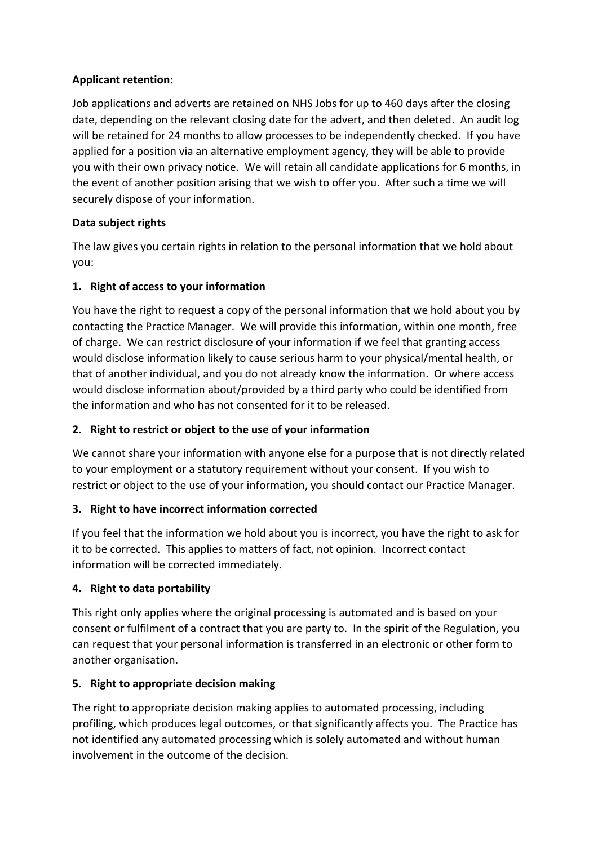### **Applicant retention:**

Job applications and adverts are retained on NHS Jobs for up to 460 days after the closing date, depending on the relevant closing date for the advert, and then deleted. An audit log will be retained for 24 months to allow processes to be independently checked. If you have applied for a position via an alternative employment agency, they will be able to provide you with their own privacy notice. We will retain all candidate applications for 6 months, in the event of another position arising that we wish to offer you. After such a time we will securely dispose of your information.

# **Data subject rights**

The law gives you certain rights in relation to the personal information that we hold about you:

# **1. Right of access to your information**

You have the right to request a copy of the personal information that we hold about you by contacting the Practice Manager. We will provide this information, within one month, free of charge. We can restrict disclosure of your information if we feel that granting access would disclose information likely to cause serious harm to your physical/mental health, or that of another individual, and you do not already know the information. Or where access would disclose information about/provided by a third party who could be identified from the information and who has not consented for it to be released.

# **2. Right to restrict or object to the use of your information**

We cannot share your information with anyone else for a purpose that is not directly related to your employment or a statutory requirement without your consent. If you wish to restrict or object to the use of your information, you should contact our Practice Manager.

# **3. Right to have incorrect information corrected**

If you feel that the information we hold about you is incorrect, you have the right to ask for it to be corrected. This applies to matters of fact, not opinion. Incorrect contact information will be corrected immediately.

# **4. Right to data portability**

This right only applies where the original processing is automated and is based on your consent or fulfilment of a contract that you are party to. In the spirit of the Regulation, you can request that your personal information is transferred in an electronic or other form to another organisation.

# **5. Right to appropriate decision making**

The right to appropriate decision making applies to automated processing, including profiling, which produces legal outcomes, or that significantly affects you. The Practice has not identified any automated processing which is solely automated and without human involvement in the outcome of the decision.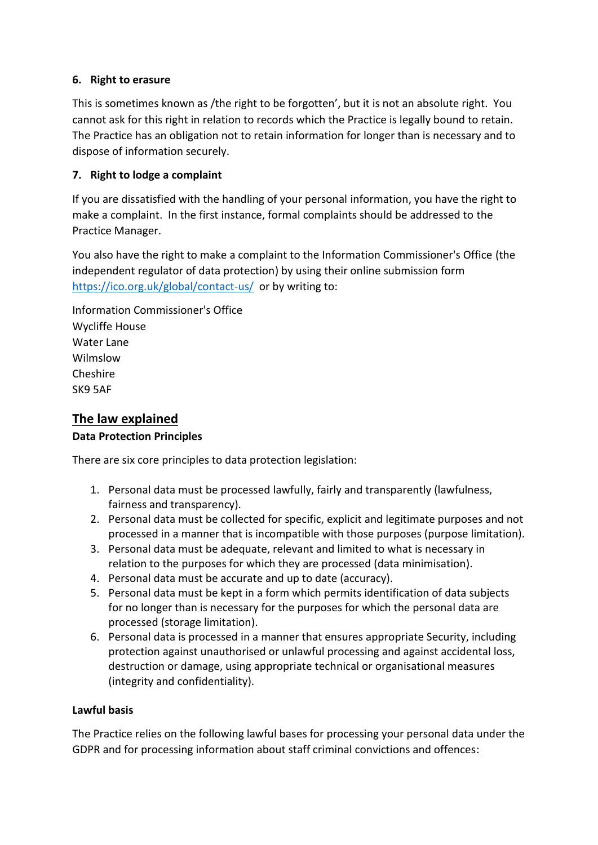#### **6. Right to erasure**

This is sometimes known as /the right to be forgotten', but it is not an absolute right. You cannot ask for this right in relation to records which the Practice is legally bound to retain. The Practice has an obligation not to retain information for longer than is necessary and to dispose of information securely.

### **7. Right to lodge a complaint**

If you are dissatisfied with the handling of your personal information, you have the right to make a complaint. In the first instance, formal complaints should be addressed to the Practice Manager.

You also have the right to make a complaint to the Information Commissioner's Office (the independent regulator of data protection) by using their online submission form <https://ico.org.uk/global/contact-us/> or by writing to:

Information Commissioner's Office Wycliffe House Water Lane Wilmslow Cheshire SK9 5AF

# **The law explained**

#### **Data Protection Principles**

There are six core principles to data protection legislation:

- 1. Personal data must be processed lawfully, fairly and transparently (lawfulness, fairness and transparency).
- 2. Personal data must be collected for specific, explicit and legitimate purposes and not processed in a manner that is incompatible with those purposes (purpose limitation).
- 3. Personal data must be adequate, relevant and limited to what is necessary in relation to the purposes for which they are processed (data minimisation).
- 4. Personal data must be accurate and up to date (accuracy).
- 5. Personal data must be kept in a form which permits identification of data subjects for no longer than is necessary for the purposes for which the personal data are processed (storage limitation).
- 6. Personal data is processed in a manner that ensures appropriate Security, including protection against unauthorised or unlawful processing and against accidental loss, destruction or damage, using appropriate technical or organisational measures (integrity and confidentiality).

#### **Lawful basis**

The Practice relies on the following lawful bases for processing your personal data under the GDPR and for processing information about staff criminal convictions and offences: